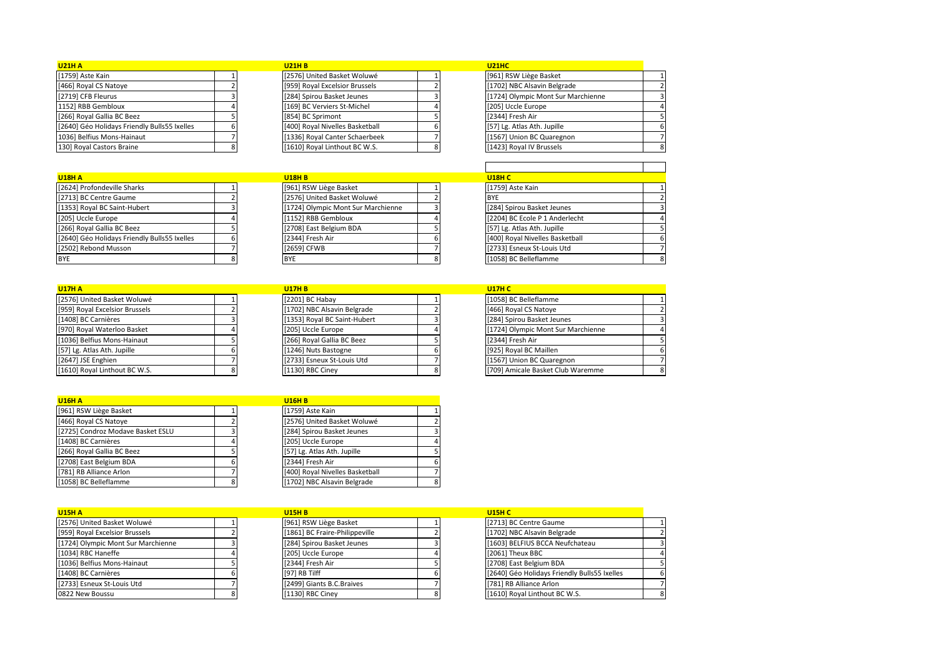| <b>U21H A</b>                                |  | <b>U21H B</b>                   | <b>U21HC</b>                       |  |
|----------------------------------------------|--|---------------------------------|------------------------------------|--|
| [1759] Aste Kain                             |  | [2576] United Basket Woluwé     | [961] RSW Liège Basket             |  |
| [466] Royal CS Natoye                        |  | [959] Royal Excelsior Brussels  | [1702] NBC Alsavin Belgrade        |  |
| [2719] CFB Fleurus                           |  | [284] Spirou Basket Jeunes      | [1724] Olympic Mont Sur Marchienne |  |
| 1152] RBB Gembloux                           |  | [169] BC Verviers St-Michel     | [205] Uccle Europe                 |  |
| [266] Royal Gallia BC Beez                   |  | [854] BC Sprimont               | [2344] Fresh Air                   |  |
| [2640] Géo Holidays Friendly Bulls55 Ixelles |  | [400] Royal Nivelles Basketball | [57] Lg. Atlas Ath. Jupille        |  |
| 1036] Belfius Mons-Hainaut                   |  | [1336] Royal Canter Schaerbeek  | [1567] Union BC Quaregnon          |  |
| 130] Royal Castors Braine                    |  | [1610] Royal Linthout BC W.S.   | [1423] Royal IV Brussels           |  |

| <b>U18H A</b>                                |   |
|----------------------------------------------|---|
| [2624] Profondeville Sharks                  |   |
| [2713] BC Centre Gaume                       |   |
| [1353] Royal BC Saint-Hubert                 |   |
| [205] Uccle Europe                           |   |
| [266] Royal Gallia BC Beez                   |   |
| [2640] Géo Holidays Friendly Bulls55 Ixelles |   |
| [2502] Rebond Musson                         |   |
| <b>BYE</b>                                   | ጸ |

| <b>U21HB</b>                    |   |
|---------------------------------|---|
| [2576] United Basket Woluwé     |   |
| [959] Royal Excelsior Brussels  |   |
| [284] Spirou Basket Jeunes      | 3 |
| [169] BC Verviers St-Michel     | 4 |
| [854] BC Sprimont               | 5 |
| [400] Royal Nivelles Basketball | 6 |
| [1336] Royal Canter Schaerbeek  |   |
| [1610] Roval Linthout BC W.S.   |   |

| 121HC                             |   |
|-----------------------------------|---|
| 961] RSW Liège Basket             | 1 |
| 1702] NBC Alsavin Belgrade        | 2 |
| 1724] Olympic Mont Sur Marchienne | 3 |
| 205] Uccle Europe                 | 4 |
| 2344] Fresh Air                   | 5 |
| 57] Lg. Atlas Ath. Jupille        | 6 |
| 1567] Union BC Quaregnon          | 7 |
| 1423] Royal IV Brussels           | g |

| <b>U18H A</b>                                |  | <b>U18H B</b>                      |  | <b>U18H C</b>                   |  |
|----------------------------------------------|--|------------------------------------|--|---------------------------------|--|
| [2624] Profondeville Sharks                  |  | [961] RSW Liège Basket             |  | [1759] Aste Kain                |  |
| [2713] BC Centre Gaume                       |  | [2576] United Basket Woluwé        |  | <b>BYE</b>                      |  |
| [1353] Royal BC Saint-Hubert                 |  | [1724] Olympic Mont Sur Marchienne |  | [284] Spirou Basket Jeunes      |  |
| [205] Uccle Europe                           |  | [1152] RBB Gembloux                |  | [2204] BC Ecole P 1 Anderlecht  |  |
| [266] Royal Gallia BC Beez                   |  | [2708] East Belgium BDA            |  | [57] Lg. Atlas Ath. Jupille     |  |
| [2640] Géo Holidays Friendly Bulls55 Ixelles |  | [2344] Fresh Air                   |  | [400] Royal Nivelles Basketball |  |
| [2502] Rebond Musson                         |  | [2659] CFWB                        |  | [2733] Esneux St-Louis Utd      |  |
| BYE                                          |  | <b>BYE</b>                         |  | [1058] BC Belleflamme           |  |

| <b>U17H A</b>                  | <b>U17H B</b>                | <b>U17H C</b>                      |  |
|--------------------------------|------------------------------|------------------------------------|--|
| [2576] United Basket Woluwé    | [2201] BC Habay              | [1058] BC Belleflamme              |  |
| [959] Royal Excelsior Brussels | [1702] NBC Alsavin Belgrade  | [466] Royal CS Natoye              |  |
| [1408] BC Carnières            | [1353] Royal BC Saint-Hubert | [284] Spirou Basket Jeunes         |  |
| [970] Royal Waterloo Basket    | [205] Uccle Europe           | [1724] Olympic Mont Sur Marchienne |  |
| [1036] Belfius Mons-Hainaut    | [266] Royal Gallia BC Beez   | [2344] Fresh Air                   |  |
| [57] Lg. Atlas Ath. Jupille    | [1246] Nuts Bastogne         | [925] Royal BC Maillen             |  |
| [2647] JSE Enghien             | [2733] Esneux St-Louis Utd   | [1567] Union BC Quaregnon          |  |
| [1610] Royal Linthout BC W.S.  | [1130] RBC Ciney             | [709] Amicale Basket Club Waremme  |  |

| <b>U17HB</b>                 |   |
|------------------------------|---|
| [2201] BC Habay              |   |
| [1702] NBC Alsavin Belgrade  | 2 |
| [1353] Royal BC Saint-Hubert | 3 |
| [205] Uccle Europe           | 4 |
| [266] Royal Gallia BC Beez   | 5 |
| [1246] Nuts Bastogne         | 6 |
| [2733] Esneux St-Louis Utd   | 7 |
| [1130] RBC Ciney             | ጸ |

| <b>U18H C</b>                   |   |
|---------------------------------|---|
| [1759] Aste Kain                |   |
| <b>BYE</b>                      |   |
| [284] Spirou Basket Jeunes      | з |
| [2204] BC Ecole P 1 Anderlecht  |   |
| [57] Lg. Atlas Ath. Jupille     | 5 |
| [400] Royal Nivelles Basketball | 6 |
| [2733] Esneux St-Louis Utd      |   |
| [1058] BC Belleflamme           |   |

| <b>U17H C</b>                      |   |
|------------------------------------|---|
| [1058] BC Belleflamme              |   |
| [466] Royal CS Natoye              | ς |
| [284] Spirou Basket Jeunes         | З |
| [1724] Olympic Mont Sur Marchienne | 4 |
| [2344] Fresh Air                   | 5 |
| [925] Royal BC Maillen             | 6 |
| [1567] Union BC Quaregnon          | 7 |
| [709] Amicale Basket Club Waremme  | ۶ |

| <b>U16H A</b>                     |   | <b>U16H B</b>                   |   |
|-----------------------------------|---|---------------------------------|---|
| [961] RSW Liège Basket            |   | [1759] Aste Kain                |   |
| [466] Royal CS Natoye             |   | [2576] United Basket Woluwé     |   |
| [2725] Condroz Modave Basket ESLU |   | [284] Spirou Basket Jeunes      |   |
| [1408] BC Carnières               |   | [205] Uccle Europe              | 4 |
| [266] Royal Gallia BC Beez        |   | [57] Lg. Atlas Ath. Jupille     | 5 |
| [2708] East Belgium BDA           | 6 | [2344] Fresh Air                | 6 |
| [781] RB Alliance Arlon           |   | [400] Royal Nivelles Basketball |   |
| [1058] BC Belleflamme             | 8 | [1702] NBC Alsavin Belgrade     | 8 |

| <b>U16H B</b>                   |   |
|---------------------------------|---|
| [1759] Aste Kain                |   |
| [2576] United Basket Woluwé     |   |
| [284] Spirou Basket Jeunes      | 3 |
| [205] Uccle Europe              |   |
| [57] Lg. Atlas Ath. Jupille     | 5 |
| [2344] Fresh Air                | 6 |
| [400] Royal Nivelles Basketball |   |
| [1702] NBC Alsavin Belgrade     |   |
|                                 |   |

| <b>U15H A</b>                      | <b>U15H B</b>                  | <b>U15H C</b>                                |  |
|------------------------------------|--------------------------------|----------------------------------------------|--|
| [2576] United Basket Woluwé        | [961] RSW Liège Basket         | [2713] BC Centre Gaume                       |  |
| [959] Royal Excelsior Brussels     | [1861] BC Fraire-Philippeville | [1702] NBC Alsavin Belgrade                  |  |
| [1724] Olympic Mont Sur Marchienne | [284] Spirou Basket Jeunes     | [1603] BELFIUS BCCA Neufchateau              |  |
| [1034] RBC Haneffe                 | [205] Uccle Europe             | [2061] Theux BBC                             |  |
| [1036] Belfius Mons-Hainaut        | [2344] Fresh Air               | [2708] East Belgium BDA                      |  |
| [1408] BC Carnières                | [97] RB Tilff                  | [2640] Géo Holidays Friendly Bulls55 Ixelles |  |
| [2733] Esneux St-Louis Utd         | [2499] Giants B.C.Braives      | [781] RB Alliance Arlon                      |  |
| 0822 New Boussu                    | [1130] RBC Cinev               | [1610] Royal Linthout BC W.S.                |  |

| <b>U15H B</b>                  |   |
|--------------------------------|---|
| [961] RSW Liège Basket         |   |
| [1861] BC Fraire-Philippeville |   |
| [284] Spirou Basket Jeunes     |   |
| [205] Uccle Europe             |   |
| [2344] Fresh Air               |   |
| [97] RB Tilff                  |   |
| [2499] Giants B.C.Braives      |   |
| [1130] RBC Ciney               | 8 |

| <b>U15H C</b>                                |  |
|----------------------------------------------|--|
| [2713] BC Centre Gaume                       |  |
| [1702] NBC Alsavin Belgrade                  |  |
| [1603] BELFIUS BCCA Neufchateau              |  |
| [2061] Theux BBC                             |  |
| [2708] East Belgium BDA                      |  |
| [2640] Géo Holidays Friendly Bulls55 Ixelles |  |
| [781] RB Alliance Arlon                      |  |
| [1610] Royal Linthout BC W.S.                |  |